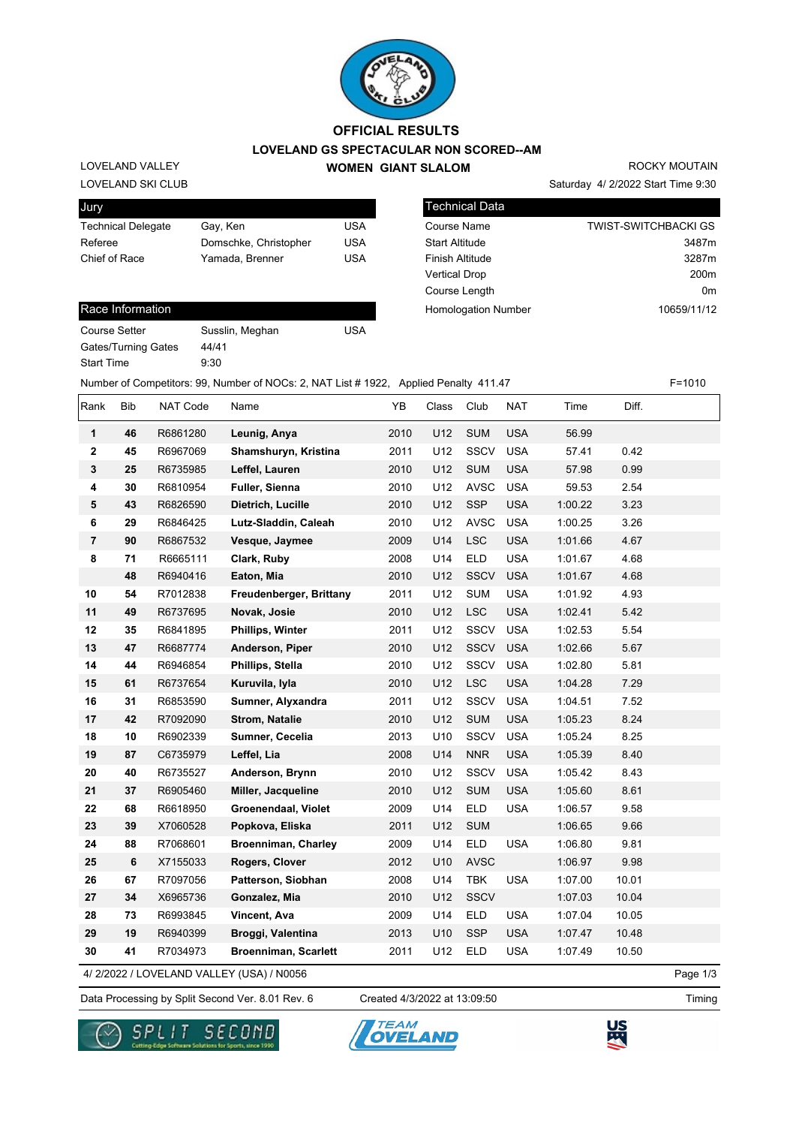

## **LOVELAND GS SPECTACULAR NON SCORED--AM WOMEN GIANT SLALOM OFFICIAL RESULTS**

LOVELAND SKI CLUB LOVELAND VALLEY

| Jury                      |                       |     |
|---------------------------|-----------------------|-----|
| <b>Technical Delegate</b> | Gay, Ken              | USA |
| Referee                   | Domschke, Christopher | USA |
| Chief of Race             | Yamada, Brenner       | USA |
|                           |                       |     |

| <b>Technical Data</b>      |                             |
|----------------------------|-----------------------------|
| <b>Course Name</b>         | <b>TWIST-SWITCHBACKI GS</b> |
| <b>Start Altitude</b>      | 3487m                       |
| <b>Finish Altitude</b>     | 3287m                       |
| <b>Vertical Drop</b>       | 200 <sub>m</sub>            |
| Course Length              | 0m                          |
| <b>Homologation Number</b> | 10659/11/12                 |

Saturday 4/ 2/2022 Start Time 9:30

ROCKY MOUTAIN

## Race Information

| Course Setter              | Suss |
|----------------------------|------|
| <b>Gates/Turning Gates</b> | 44/4 |
| <b>Start Time</b>          | 9:30 |

Susslin, Meghan **USA** 44/41

Number of Competitors: 99, Number of NOCs: 2, NAT List # 1922, Applied Penalty 411.47 F=1010

| Rank           | <b>Bib</b> | NAT Code | Name                        | YB   | Class | Club        | <b>NAT</b> | Time    | Diff. |  |
|----------------|------------|----------|-----------------------------|------|-------|-------------|------------|---------|-------|--|
| 1              | 46         | R6861280 | Leunig, Anya                | 2010 | U12   | <b>SUM</b>  | <b>USA</b> | 56.99   |       |  |
| 2              | 45         | R6967069 | Shamshuryn, Kristina        | 2011 | U12   | <b>SSCV</b> | <b>USA</b> | 57.41   | 0.42  |  |
| $\mathbf 3$    | 25         | R6735985 | Leffel, Lauren              | 2010 | U12   | <b>SUM</b>  | <b>USA</b> | 57.98   | 0.99  |  |
| 4              | 30         | R6810954 | Fuller, Sienna              | 2010 | U12   | <b>AVSC</b> | <b>USA</b> | 59.53   | 2.54  |  |
| 5              | 43         | R6826590 | Dietrich, Lucille           | 2010 | U12   | <b>SSP</b>  | <b>USA</b> | 1:00.22 | 3.23  |  |
| 6              | 29         | R6846425 | Lutz-Sladdin, Caleah        | 2010 | U12   | <b>AVSC</b> | <b>USA</b> | 1:00.25 | 3.26  |  |
| $\overline{7}$ | 90         | R6867532 | Vesque, Jaymee              | 2009 | U14   | <b>LSC</b>  | <b>USA</b> | 1:01.66 | 4.67  |  |
| 8              | 71         | R6665111 | Clark, Ruby                 | 2008 | U14   | <b>ELD</b>  | <b>USA</b> | 1:01.67 | 4.68  |  |
|                | 48         | R6940416 | Eaton, Mia                  | 2010 | U12   | <b>SSCV</b> | <b>USA</b> | 1:01.67 | 4.68  |  |
| 10             | 54         | R7012838 | Freudenberger, Brittany     | 2011 | U12   | <b>SUM</b>  | <b>USA</b> | 1:01.92 | 4.93  |  |
| 11             | 49         | R6737695 | Novak, Josie                | 2010 | U12   | <b>LSC</b>  | <b>USA</b> | 1:02.41 | 5.42  |  |
| 12             | 35         | R6841895 | Phillips, Winter            | 2011 | U12   | <b>SSCV</b> | <b>USA</b> | 1:02.53 | 5.54  |  |
| 13             | 47         | R6687774 | Anderson, Piper             | 2010 | U12   | <b>SSCV</b> | <b>USA</b> | 1:02.66 | 5.67  |  |
| 14             | 44         | R6946854 | Phillips, Stella            | 2010 | U12   | <b>SSCV</b> | <b>USA</b> | 1:02.80 | 5.81  |  |
| 15             | 61         | R6737654 | Kuruvila, Iyla              | 2010 | U12   | <b>LSC</b>  | <b>USA</b> | 1:04.28 | 7.29  |  |
| 16             | 31         | R6853590 | Sumner, Alyxandra           | 2011 | U12   | <b>SSCV</b> | <b>USA</b> | 1:04.51 | 7.52  |  |
| 17             | 42         | R7092090 | <b>Strom, Natalie</b>       | 2010 | U12   | <b>SUM</b>  | <b>USA</b> | 1:05.23 | 8.24  |  |
| 18             | 10         | R6902339 | Sumner, Cecelia             | 2013 | U10   | <b>SSCV</b> | <b>USA</b> | 1:05.24 | 8.25  |  |
| 19             | 87         | C6735979 | Leffel, Lia                 | 2008 | U14   | <b>NNR</b>  | <b>USA</b> | 1:05.39 | 8.40  |  |
| 20             | 40         | R6735527 | Anderson, Brynn             | 2010 | U12   | SSCV        | <b>USA</b> | 1:05.42 | 8.43  |  |
| 21             | 37         | R6905460 | Miller, Jacqueline          | 2010 | U12   | <b>SUM</b>  | <b>USA</b> | 1:05.60 | 8.61  |  |
| 22             | 68         | R6618950 | Groenendaal, Violet         | 2009 | U14   | <b>ELD</b>  | <b>USA</b> | 1:06.57 | 9.58  |  |
| 23             | 39         | X7060528 | Popkova, Eliska             | 2011 | U12   | <b>SUM</b>  |            | 1:06.65 | 9.66  |  |
| 24             | 88         | R7068601 | <b>Broenniman, Charley</b>  | 2009 | U14   | <b>ELD</b>  | <b>USA</b> | 1:06.80 | 9.81  |  |
| 25             | 6          | X7155033 | Rogers, Clover              | 2012 | U10   | <b>AVSC</b> |            | 1:06.97 | 9.98  |  |
| 26             | 67         | R7097056 | Patterson, Siobhan          | 2008 | U14   | <b>TBK</b>  | <b>USA</b> | 1:07.00 | 10.01 |  |
| 27             | 34         | X6965736 | Gonzalez, Mia               | 2010 | U12   | <b>SSCV</b> |            | 1:07.03 | 10.04 |  |
| 28             | 73         | R6993845 | Vincent, Ava                | 2009 | U14   | <b>ELD</b>  | <b>USA</b> | 1:07.04 | 10.05 |  |
| 29             | 19         | R6940399 | Broggi, Valentina           | 2013 | U10   | <b>SSP</b>  | <b>USA</b> | 1:07.47 | 10.48 |  |
| 30             | 41         | R7034973 | <b>Broenniman, Scarlett</b> | 2011 | U12   | <b>ELD</b>  | <b>USA</b> | 1:07.49 | 10.50 |  |

4/ 2/2022 / LOVELAND VALLEY (USA) / N0056

Data Processing by Split Second Ver. 8.01 Rev. 6 Created 4/3/2022 at 13:09:50

Created 4/3/2022 at 13:09:50

Page 1/3





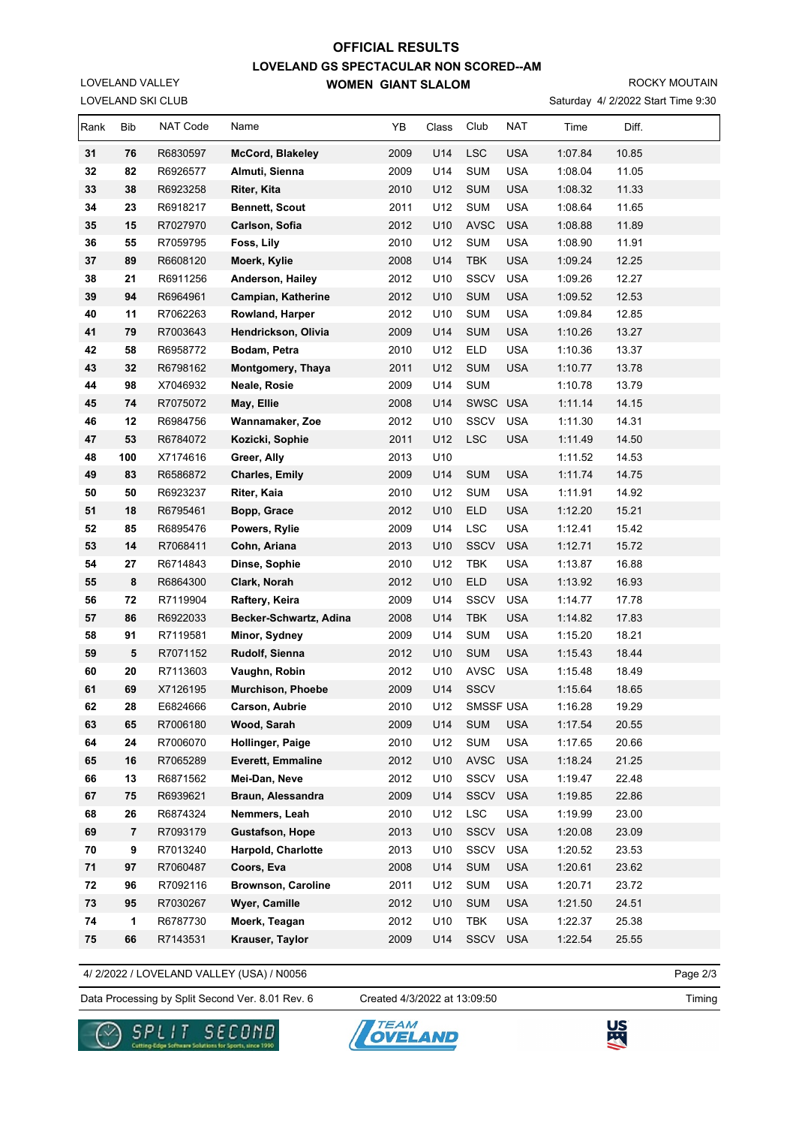## **LOVELAND GS SPECTACULAR NON SCORED--AM WOMEN GIANT SLALOM OFFICIAL RESULTS**

ROCKY MOUTAIN

Saturday 4/ 2/2022 Start Time 9:30

| Rank     | Bib            | NAT Code             | Name                                      | YB           | Class      | Club         | NAT                      | Time               | Diff.          |  |
|----------|----------------|----------------------|-------------------------------------------|--------------|------------|--------------|--------------------------|--------------------|----------------|--|
| 31       | 76             | R6830597             | <b>McCord, Blakeley</b>                   | 2009         | U14        | <b>LSC</b>   | <b>USA</b>               | 1:07.84            | 10.85          |  |
| 32       | 82             | R6926577             | Almuti, Sienna                            | 2009         | U14        | <b>SUM</b>   | <b>USA</b>               | 1:08.04            | 11.05          |  |
| 33       | 38             | R6923258             | Riter, Kita                               | 2010         | U12        | <b>SUM</b>   | <b>USA</b>               | 1:08.32            | 11.33          |  |
| 34       | 23             | R6918217             | <b>Bennett, Scout</b>                     | 2011         | U12        | <b>SUM</b>   | <b>USA</b>               | 1:08.64            | 11.65          |  |
| 35       | 15             | R7027970             | Carlson, Sofia                            | 2012         | U10        | <b>AVSC</b>  | <b>USA</b>               | 1:08.88            | 11.89          |  |
| 36       | 55             | R7059795             | Foss, Lily                                | 2010         | U12        | <b>SUM</b>   | <b>USA</b>               | 1:08.90            | 11.91          |  |
| 37       | 89             | R6608120             | Moerk, Kylie                              | 2008         | U14        | <b>TBK</b>   | <b>USA</b>               | 1:09.24            | 12.25          |  |
| 38       | 21             | R6911256             | Anderson, Hailey                          | 2012         | U10        | <b>SSCV</b>  | <b>USA</b>               | 1:09.26            | 12.27          |  |
| 39       | 94             | R6964961             | Campian, Katherine                        | 2012         | U10        | <b>SUM</b>   | <b>USA</b>               | 1:09.52            | 12.53          |  |
| 40       | 11             | R7062263             | Rowland, Harper                           | 2012         | U10        | <b>SUM</b>   | <b>USA</b>               | 1:09.84            | 12.85          |  |
| 41       | 79             | R7003643             | Hendrickson, Olivia                       | 2009         | U14        | <b>SUM</b>   | <b>USA</b>               | 1:10.26            | 13.27          |  |
| 42       | 58             | R6958772             | Bodam, Petra                              | 2010         | U12        | <b>ELD</b>   | <b>USA</b>               | 1:10.36            | 13.37          |  |
| 43       | 32             | R6798162             | Montgomery, Thaya                         | 2011         | U12        | <b>SUM</b>   | <b>USA</b>               | 1:10.77            | 13.78          |  |
| 44       | 98             | X7046932             | Neale, Rosie                              | 2009         | U14        | <b>SUM</b>   |                          | 1:10.78            | 13.79          |  |
| 45       | 74             | R7075072             | May, Ellie                                | 2008         | U14        | SWSC         | <b>USA</b>               | 1:11.14            | 14.15          |  |
| 46       | 12             | R6984756             | Wannamaker, Zoe                           | 2012         | U10        | SSCV         | <b>USA</b>               | 1:11.30            | 14.31          |  |
| 47       | 53             | R6784072             | Kozicki, Sophie                           | 2011         | U12        | <b>LSC</b>   | <b>USA</b>               | 1:11.49            | 14.50          |  |
| 48       | 100            | X7174616             | Greer, Ally                               | 2013         | U10        |              |                          | 1:11.52            | 14.53          |  |
| 49       | 83             | R6586872             | <b>Charles, Emily</b>                     | 2009         | U14        | <b>SUM</b>   | <b>USA</b>               | 1:11.74            | 14.75          |  |
| 50       | 50             | R6923237             | Riter, Kaia                               | 2010         | U12        | <b>SUM</b>   | <b>USA</b>               | 1:11.91            | 14.92          |  |
| 51       | 18             | R6795461             | Bopp, Grace                               | 2012         | U10        | ELD          | <b>USA</b>               | 1:12.20            | 15.21          |  |
| 52       | 85             | R6895476             | Powers, Rylie                             | 2009         | U14        | <b>LSC</b>   | <b>USA</b>               | 1:12.41            | 15.42          |  |
| 53       | 14             | R7068411             | Cohn, Ariana                              | 2013         | U10        | <b>SSCV</b>  | <b>USA</b>               | 1:12.71            | 15.72          |  |
| 54       | 27             | R6714843             | Dinse, Sophie                             | 2010         | U12        | TBK          | <b>USA</b>               | 1:13.87            | 16.88          |  |
| 55       | 8              | R6864300             | Clark, Norah                              | 2012         | U10        | <b>ELD</b>   | <b>USA</b>               | 1:13.92            | 16.93          |  |
| 56       | 72             | R7119904             | Raftery, Keira                            | 2009         | U14        | <b>SSCV</b>  | <b>USA</b>               | 1:14.77            | 17.78          |  |
| 57       | 86             | R6922033             | Becker-Schwartz, Adina                    | 2008         | U14        | <b>TBK</b>   | <b>USA</b>               | 1:14.82            | 17.83          |  |
| 58       | 91             | R7119581             | Minor, Sydney                             | 2009         | U14        | <b>SUM</b>   | <b>USA</b>               | 1:15.20            | 18.21          |  |
| 59       | 5              | R7071152             | Rudolf, Sienna                            | 2012         | U10        | <b>SUM</b>   | <b>USA</b>               | 1:15.43            | 18.44          |  |
| 60       | 20             | R7113603             | Vaughn, Robin                             | 2012         | U10        | <b>AVSC</b>  | <b>USA</b>               | 1:15.48            | 18.49          |  |
| 61       | 69             | X7126195             | Murchison, Phoebe                         | 2009         | U14        | <b>SSCV</b>  |                          | 1:15.64            | 18.65          |  |
| 62       | 28             | E6824666             | <b>Carson, Aubrie</b>                     | 2010         | U12        | SMSSF USA    |                          | 1:16.28            | 19.29          |  |
| 63       | 65             | R7006180             | Wood, Sarah                               | 2009         | U14        | <b>SUM</b>   | <b>USA</b>               | 1:17.54            | 20.55          |  |
| 64       | 24             | R7006070             | Hollinger, Paige                          | 2010         | U12        | <b>SUM</b>   | <b>USA</b>               | 1:17.65            | 20.66          |  |
| 65<br>66 | 16<br>13       | R7065289             | <b>Everett, Emmaline</b><br>Mei-Dan, Neve | 2012<br>2012 | U10<br>U10 | AVSC<br>SSCV | <b>USA</b><br><b>USA</b> | 1:18.24<br>1:19.47 | 21.25<br>22.48 |  |
| 67       | 75             | R6871562<br>R6939621 | Braun, Alessandra                         | 2009         | U14        | SSCV         | <b>USA</b>               | 1:19.85            | 22.86          |  |
| 68       | 26             | R6874324             | Nemmers, Leah                             | 2010         | U12        | LSC          | <b>USA</b>               | 1:19.99            | 23.00          |  |
| 69       | $\overline{7}$ | R7093179             | <b>Gustafson, Hope</b>                    | 2013         | U10        | SSCV         | <b>USA</b>               | 1:20.08            | 23.09          |  |
| 70       | 9              | R7013240             | Harpold, Charlotte                        | 2013         | U10        | <b>SSCV</b>  | <b>USA</b>               | 1:20.52            | 23.53          |  |
| 71       | 97             | R7060487             | Coors, Eva                                | 2008         | U14        | <b>SUM</b>   | <b>USA</b>               | 1:20.61            | 23.62          |  |
| 72       | 96             | R7092116             | <b>Brownson, Caroline</b>                 | 2011         | U12        | <b>SUM</b>   | USA                      | 1:20.71            | 23.72          |  |
| 73       | 95             | R7030267             | Wyer, Camille                             | 2012         | U10        | <b>SUM</b>   | <b>USA</b>               | 1:21.50            | 24.51          |  |
| 74       | 1              | R6787730             | Moerk, Teagan                             | 2012         | U10        | TBK          | <b>USA</b>               | 1:22.37            | 25.38          |  |
| 75       | 66             | R7143531             | Krauser, Taylor                           | 2009         | U14        | SSCV         | <b>USA</b>               | 1:22.54            | 25.55          |  |
|          |                |                      |                                           |              |            |              |                          |                    |                |  |

4/ 2/2022 / LOVELAND VALLEY (USA) / N0056

Data Processing by Split Second Ver. 8.01 Rev. 6 Created 4/3/2022 at 13:09:50 Timing

Created 4/3/2022 at 13:09:50

Page 2/3



LOVELAND SKI CLUB LOVELAND VALLEY